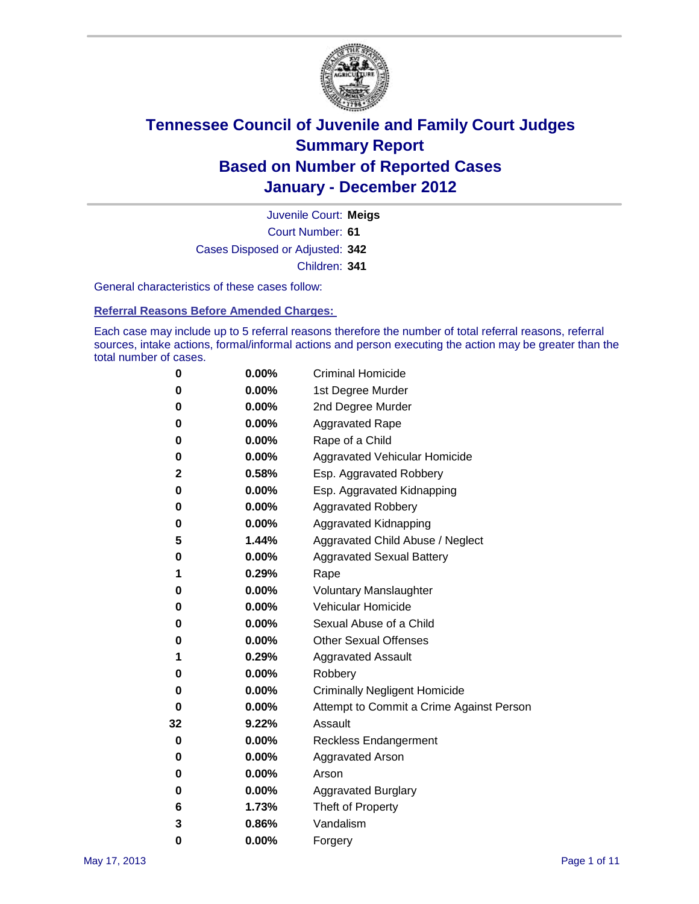

Court Number: **61** Juvenile Court: **Meigs** Cases Disposed or Adjusted: **342** Children: **341**

General characteristics of these cases follow:

**Referral Reasons Before Amended Charges:** 

Each case may include up to 5 referral reasons therefore the number of total referral reasons, referral sources, intake actions, formal/informal actions and person executing the action may be greater than the total number of cases.

| 0  | 0.00%    | <b>Criminal Homicide</b>                 |  |  |
|----|----------|------------------------------------------|--|--|
| 0  | 0.00%    | 1st Degree Murder                        |  |  |
| 0  | 0.00%    | 2nd Degree Murder                        |  |  |
| 0  | 0.00%    | <b>Aggravated Rape</b>                   |  |  |
| 0  | 0.00%    | Rape of a Child                          |  |  |
| 0  | 0.00%    | Aggravated Vehicular Homicide            |  |  |
| 2  | 0.58%    | Esp. Aggravated Robbery                  |  |  |
| 0  | $0.00\%$ | Esp. Aggravated Kidnapping               |  |  |
| 0  | 0.00%    | <b>Aggravated Robbery</b>                |  |  |
| 0  | 0.00%    | Aggravated Kidnapping                    |  |  |
| 5  | 1.44%    | Aggravated Child Abuse / Neglect         |  |  |
| 0  | 0.00%    | <b>Aggravated Sexual Battery</b>         |  |  |
| 1  | 0.29%    | Rape                                     |  |  |
| 0  | 0.00%    | <b>Voluntary Manslaughter</b>            |  |  |
| 0  | 0.00%    | Vehicular Homicide                       |  |  |
| 0  | 0.00%    | Sexual Abuse of a Child                  |  |  |
| 0  | 0.00%    | <b>Other Sexual Offenses</b>             |  |  |
| 1  | 0.29%    | <b>Aggravated Assault</b>                |  |  |
| 0  | 0.00%    | Robbery                                  |  |  |
| 0  | 0.00%    | <b>Criminally Negligent Homicide</b>     |  |  |
| 0  | 0.00%    | Attempt to Commit a Crime Against Person |  |  |
| 32 | 9.22%    | Assault                                  |  |  |
| 0  | 0.00%    | <b>Reckless Endangerment</b>             |  |  |
| 0  | 0.00%    | <b>Aggravated Arson</b>                  |  |  |
| 0  | 0.00%    | Arson                                    |  |  |
| 0  | 0.00%    | <b>Aggravated Burglary</b>               |  |  |
| 6  | 1.73%    | Theft of Property                        |  |  |
| 3  | 0.86%    | Vandalism                                |  |  |
| 0  | 0.00%    | Forgery                                  |  |  |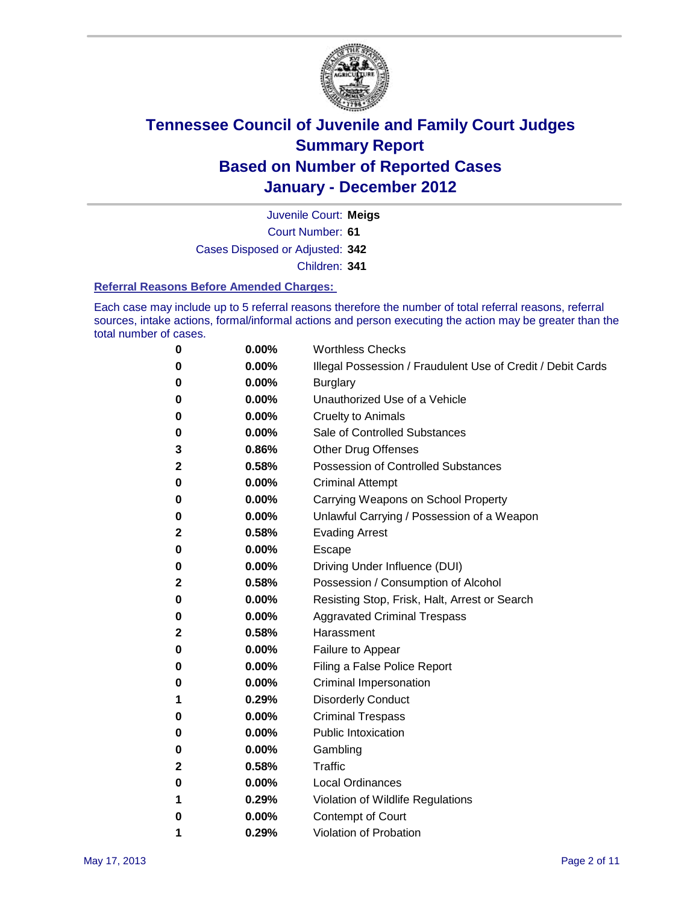

Court Number: **61** Juvenile Court: **Meigs** Cases Disposed or Adjusted: **342** Children: **341**

#### **Referral Reasons Before Amended Charges:**

Each case may include up to 5 referral reasons therefore the number of total referral reasons, referral sources, intake actions, formal/informal actions and person executing the action may be greater than the total number of cases.

| 0            | 0.00%    | <b>Worthless Checks</b>                                     |
|--------------|----------|-------------------------------------------------------------|
| 0            | 0.00%    | Illegal Possession / Fraudulent Use of Credit / Debit Cards |
| 0            | 0.00%    | <b>Burglary</b>                                             |
| 0            | 0.00%    | Unauthorized Use of a Vehicle                               |
| 0            | $0.00\%$ | <b>Cruelty to Animals</b>                                   |
| 0            | 0.00%    | Sale of Controlled Substances                               |
| 3            | 0.86%    | <b>Other Drug Offenses</b>                                  |
| $\mathbf{2}$ | 0.58%    | <b>Possession of Controlled Substances</b>                  |
| 0            | $0.00\%$ | <b>Criminal Attempt</b>                                     |
| 0            | 0.00%    | Carrying Weapons on School Property                         |
| 0            | 0.00%    | Unlawful Carrying / Possession of a Weapon                  |
| $\mathbf{2}$ | 0.58%    | <b>Evading Arrest</b>                                       |
| 0            | $0.00\%$ | Escape                                                      |
| 0            | 0.00%    | Driving Under Influence (DUI)                               |
| $\mathbf{2}$ | 0.58%    | Possession / Consumption of Alcohol                         |
| 0            | $0.00\%$ | Resisting Stop, Frisk, Halt, Arrest or Search               |
| 0            | $0.00\%$ | <b>Aggravated Criminal Trespass</b>                         |
| 2            | 0.58%    | Harassment                                                  |
| 0            | 0.00%    | Failure to Appear                                           |
| 0            | $0.00\%$ | Filing a False Police Report                                |
| 0            | 0.00%    | <b>Criminal Impersonation</b>                               |
| 1            | 0.29%    | <b>Disorderly Conduct</b>                                   |
| 0            | 0.00%    | <b>Criminal Trespass</b>                                    |
| 0            | 0.00%    | <b>Public Intoxication</b>                                  |
| 0            | 0.00%    | Gambling                                                    |
| 2            | 0.58%    | Traffic                                                     |
| 0            | $0.00\%$ | <b>Local Ordinances</b>                                     |
| 1            | 0.29%    | Violation of Wildlife Regulations                           |
| 0            | $0.00\%$ | Contempt of Court                                           |
| 1            | 0.29%    | Violation of Probation                                      |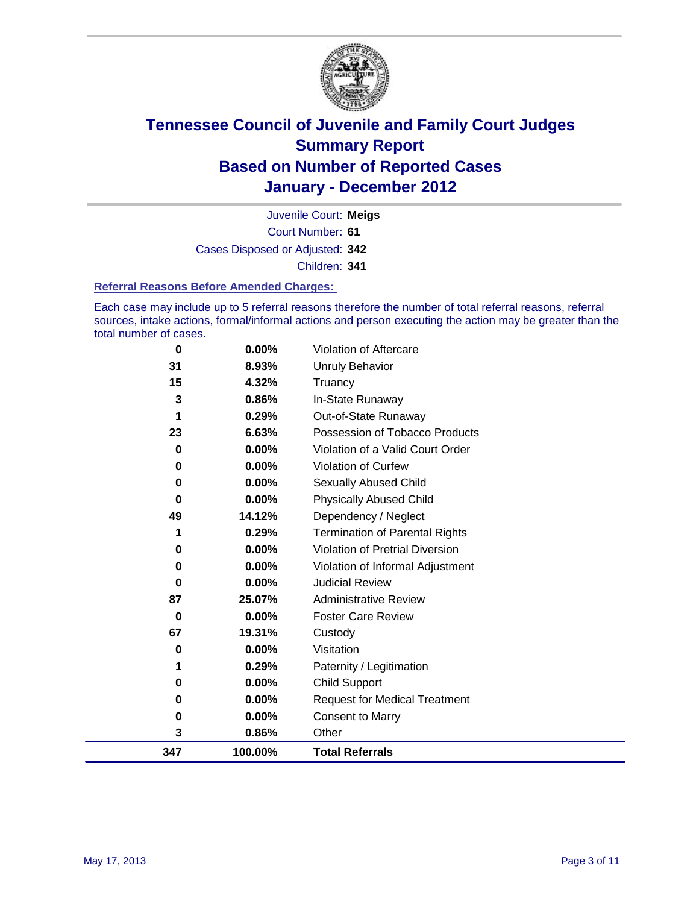

Court Number: **61** Juvenile Court: **Meigs** Cases Disposed or Adjusted: **342** Children: **341**

#### **Referral Reasons Before Amended Charges:**

Each case may include up to 5 referral reasons therefore the number of total referral reasons, referral sources, intake actions, formal/informal actions and person executing the action may be greater than the total number of cases.

| 0        | 0.00%   | Violation of Aftercare                 |
|----------|---------|----------------------------------------|
| 31       | 8.93%   | Unruly Behavior                        |
| 15       | 4.32%   | Truancy                                |
| 3        | 0.86%   | In-State Runaway                       |
|          | 0.29%   | Out-of-State Runaway                   |
| 23       | 6.63%   | Possession of Tobacco Products         |
| 0        | 0.00%   | Violation of a Valid Court Order       |
| $\bf{0}$ | 0.00%   | Violation of Curfew                    |
| 0        | 0.00%   | <b>Sexually Abused Child</b>           |
| $\bf{0}$ | 0.00%   | <b>Physically Abused Child</b>         |
| 49       | 14.12%  | Dependency / Neglect                   |
| 1        | 0.29%   | <b>Termination of Parental Rights</b>  |
| 0        | 0.00%   | <b>Violation of Pretrial Diversion</b> |
| 0        | 0.00%   | Violation of Informal Adjustment       |
| 0        | 0.00%   | <b>Judicial Review</b>                 |
| 87       | 25.07%  | <b>Administrative Review</b>           |
| $\bf{0}$ | 0.00%   | <b>Foster Care Review</b>              |
| 67       | 19.31%  | Custody                                |
| 0        | 0.00%   | Visitation                             |
| 1        | 0.29%   | Paternity / Legitimation               |
| 0        | 0.00%   | <b>Child Support</b>                   |
| 0        | 0.00%   | <b>Request for Medical Treatment</b>   |
| 0        | 0.00%   | <b>Consent to Marry</b>                |
| 3        | 0.86%   | Other                                  |
| 347      | 100.00% | <b>Total Referrals</b>                 |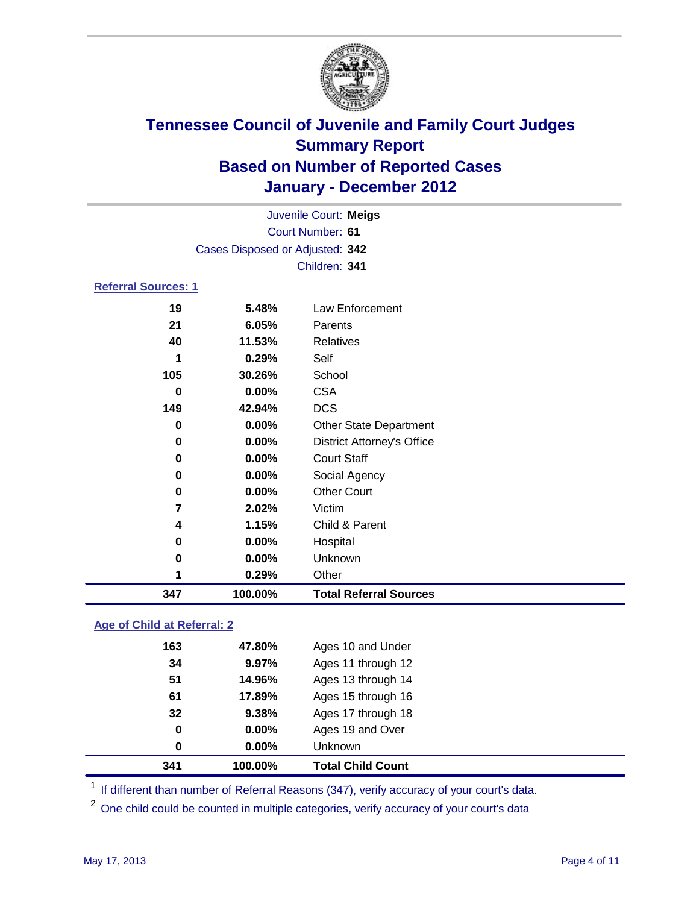

| Juvenile Court: Meigs          |                                 |                                   |  |  |  |
|--------------------------------|---------------------------------|-----------------------------------|--|--|--|
|                                | Court Number: 61                |                                   |  |  |  |
|                                | Cases Disposed or Adjusted: 342 |                                   |  |  |  |
|                                | Children: 341                   |                                   |  |  |  |
| <b>Referral Sources: 1</b>     |                                 |                                   |  |  |  |
| 19                             | 5.48%                           | Law Enforcement                   |  |  |  |
| 21                             | 6.05%                           | Parents                           |  |  |  |
| 40                             | 11.53%                          | <b>Relatives</b>                  |  |  |  |
| 1                              | 0.29%                           | Self                              |  |  |  |
| 105                            | 30.26%                          | School                            |  |  |  |
| $\bf{0}$                       | 0.00%                           | <b>CSA</b>                        |  |  |  |
| 149                            | 42.94%                          | <b>DCS</b>                        |  |  |  |
| $\bf{0}$                       | 0.00%                           | Other State Department            |  |  |  |
| 0                              | 0.00%                           | <b>District Attorney's Office</b> |  |  |  |
| $\bf{0}$                       | 0.00%                           | <b>Court Staff</b>                |  |  |  |
| 0                              | 0.00%                           | Social Agency                     |  |  |  |
| 0                              | 0.00%                           | <b>Other Court</b>                |  |  |  |
| $\overline{7}$                 | 2.02%                           | Victim                            |  |  |  |
| 4                              | 1.15%                           | Child & Parent                    |  |  |  |
| 0                              | 0.00%                           | Hospital                          |  |  |  |
| 0                              | 0.00%                           | Unknown                           |  |  |  |
| 1                              | 0.29%                           | Other                             |  |  |  |
| 347                            | 100.00%                         | <b>Total Referral Sources</b>     |  |  |  |
| Alace of Obdied at Defeared, O |                                 |                                   |  |  |  |

### **Age of Child at Referral: 2**

| 0   | $0.00\%$ | <b>Unknown</b>     |  |
|-----|----------|--------------------|--|
| 0   | 0.00%    | Ages 19 and Over   |  |
| 32  | 9.38%    | Ages 17 through 18 |  |
| 61  | 17.89%   | Ages 15 through 16 |  |
| 51  | 14.96%   | Ages 13 through 14 |  |
| 34  | 9.97%    | Ages 11 through 12 |  |
| 163 | 47.80%   | Ages 10 and Under  |  |
|     |          |                    |  |

<sup>1</sup> If different than number of Referral Reasons (347), verify accuracy of your court's data.

<sup>2</sup> One child could be counted in multiple categories, verify accuracy of your court's data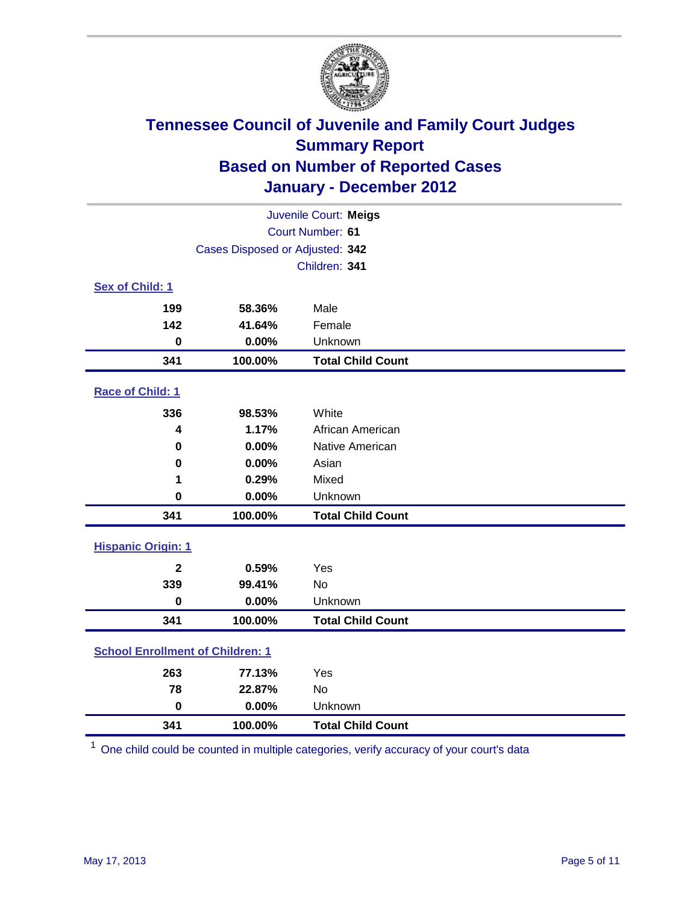

| Juvenile Court: Meigs                   |                                 |                          |  |  |
|-----------------------------------------|---------------------------------|--------------------------|--|--|
| Court Number: 61                        |                                 |                          |  |  |
|                                         | Cases Disposed or Adjusted: 342 |                          |  |  |
|                                         |                                 | Children: 341            |  |  |
| Sex of Child: 1                         |                                 |                          |  |  |
| 199                                     | 58.36%                          | Male                     |  |  |
| 142                                     | 41.64%                          | Female                   |  |  |
| $\mathbf 0$                             | 0.00%                           | Unknown                  |  |  |
| 341                                     | 100.00%                         | <b>Total Child Count</b> |  |  |
| Race of Child: 1                        |                                 |                          |  |  |
| 336                                     | 98.53%                          | White                    |  |  |
| 4                                       | 1.17%                           | African American         |  |  |
| $\mathbf 0$                             | 0.00%                           | Native American          |  |  |
| 0                                       | 0.00%                           | Asian                    |  |  |
| 1                                       | 0.29%                           | Mixed                    |  |  |
| $\mathbf 0$                             | 0.00%                           | Unknown                  |  |  |
| 341                                     | 100.00%                         | <b>Total Child Count</b> |  |  |
| <b>Hispanic Origin: 1</b>               |                                 |                          |  |  |
| $\mathbf{2}$                            | 0.59%                           | Yes                      |  |  |
| 339                                     | 99.41%                          | No                       |  |  |
| $\mathbf 0$                             | 0.00%                           | Unknown                  |  |  |
| 341                                     | 100.00%                         | <b>Total Child Count</b> |  |  |
| <b>School Enrollment of Children: 1</b> |                                 |                          |  |  |
| 263                                     | 77.13%                          | Yes                      |  |  |
| 78                                      | 22.87%                          | No                       |  |  |
| $\mathbf 0$                             | 0.00%                           | Unknown                  |  |  |
| 341                                     | 100.00%                         | <b>Total Child Count</b> |  |  |

One child could be counted in multiple categories, verify accuracy of your court's data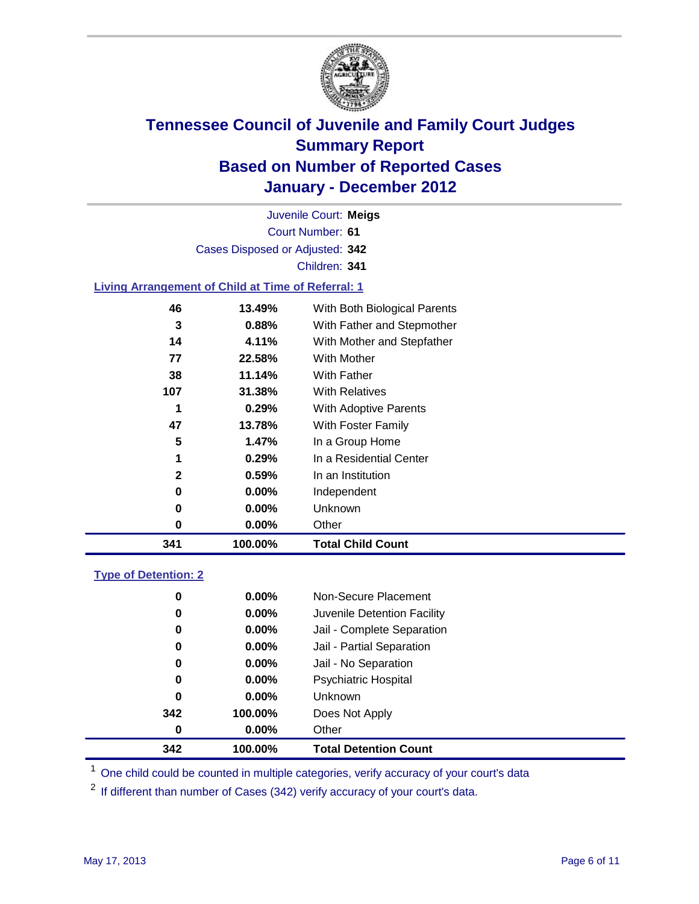

Court Number: **61** Juvenile Court: **Meigs** Cases Disposed or Adjusted: **342** Children: **341**

### **Living Arrangement of Child at Time of Referral: 1**

| 341          | 100.00%  | <b>Total Child Count</b>     |
|--------------|----------|------------------------------|
| 0            | $0.00\%$ | Other                        |
| 0            | $0.00\%$ | Unknown                      |
| 0            | $0.00\%$ | Independent                  |
| $\mathbf{2}$ | 0.59%    | In an Institution            |
| 1            | 0.29%    | In a Residential Center      |
| 5            | 1.47%    | In a Group Home              |
| 47           | 13.78%   | With Foster Family           |
| 1            | 0.29%    | With Adoptive Parents        |
| 107          | 31.38%   | <b>With Relatives</b>        |
| 38           | 11.14%   | <b>With Father</b>           |
| 77           | 22.58%   | <b>With Mother</b>           |
| 14           | 4.11%    | With Mother and Stepfather   |
| 3            | 0.88%    | With Father and Stepmother   |
| 46           | 13.49%   | With Both Biological Parents |
|              |          |                              |

### **Type of Detention: 2**

| 342 | 100.00%  | <b>Total Detention Count</b> |
|-----|----------|------------------------------|
| 0   | $0.00\%$ | Other                        |
| 342 | 100.00%  | Does Not Apply               |
| 0   | $0.00\%$ | Unknown                      |
| 0   | $0.00\%$ | <b>Psychiatric Hospital</b>  |
| 0   | 0.00%    | Jail - No Separation         |
| 0   | $0.00\%$ | Jail - Partial Separation    |
| 0   | $0.00\%$ | Jail - Complete Separation   |
| 0   | 0.00%    | Juvenile Detention Facility  |
| 0   | $0.00\%$ | Non-Secure Placement         |
|     |          |                              |

<sup>1</sup> One child could be counted in multiple categories, verify accuracy of your court's data

<sup>2</sup> If different than number of Cases (342) verify accuracy of your court's data.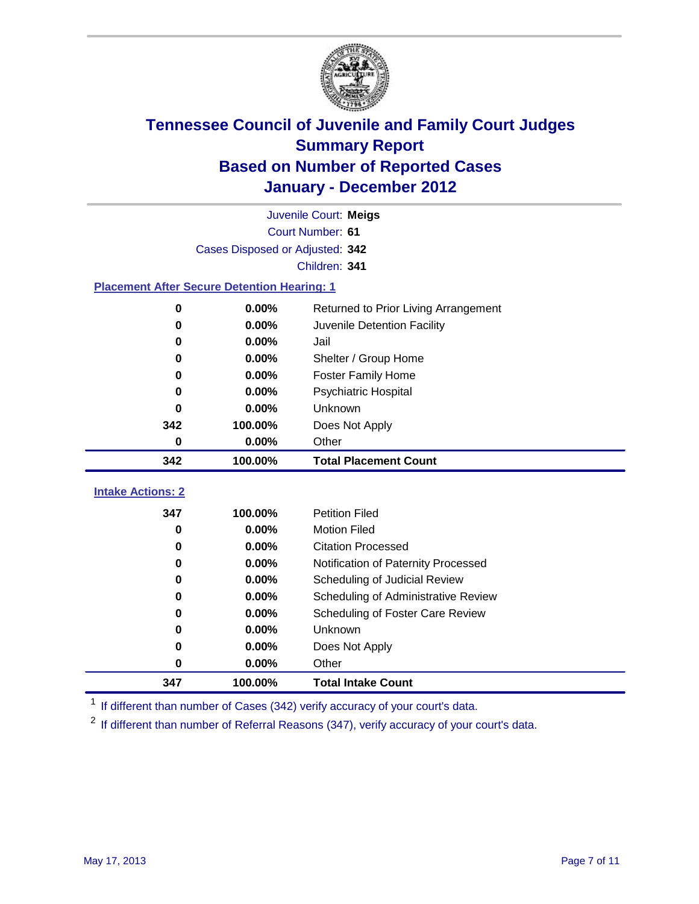

|                                                    | Juvenile Court: Meigs           |                                      |  |  |  |
|----------------------------------------------------|---------------------------------|--------------------------------------|--|--|--|
|                                                    | Court Number: 61                |                                      |  |  |  |
|                                                    | Cases Disposed or Adjusted: 342 |                                      |  |  |  |
|                                                    |                                 | Children: 341                        |  |  |  |
| <b>Placement After Secure Detention Hearing: 1</b> |                                 |                                      |  |  |  |
| 0                                                  | 0.00%                           | Returned to Prior Living Arrangement |  |  |  |
| $\bf{0}$                                           | 0.00%                           | Juvenile Detention Facility          |  |  |  |
| $\bf{0}$                                           | 0.00%                           | Jail                                 |  |  |  |
| $\bf{0}$                                           | 0.00%                           | Shelter / Group Home                 |  |  |  |
| 0                                                  | 0.00%                           | <b>Foster Family Home</b>            |  |  |  |
| 0                                                  | 0.00%                           | Psychiatric Hospital                 |  |  |  |
| 0                                                  | 0.00%                           | Unknown                              |  |  |  |
| 342                                                | 100.00%                         | Does Not Apply                       |  |  |  |
| 0                                                  | 0.00%                           | Other                                |  |  |  |
| 342                                                | 100.00%                         | <b>Total Placement Count</b>         |  |  |  |
|                                                    |                                 |                                      |  |  |  |
| <b>Intake Actions: 2</b>                           |                                 |                                      |  |  |  |
| 347                                                | 100.00%                         | <b>Petition Filed</b>                |  |  |  |
| 0                                                  | 0.00%                           | <b>Motion Filed</b>                  |  |  |  |
| $\bf{0}$                                           | 0.00%                           | <b>Citation Processed</b>            |  |  |  |
| $\bf{0}$                                           | 0.00%                           | Notification of Paternity Processed  |  |  |  |
| $\bf{0}$                                           | 0.00%                           | Scheduling of Judicial Review        |  |  |  |
| 0                                                  | 0.00%                           | Scheduling of Administrative Review  |  |  |  |
| 0                                                  | 0.00%                           | Scheduling of Foster Care Review     |  |  |  |
| $\bf{0}$                                           | 0.00%                           | Unknown                              |  |  |  |
| 0                                                  | 0.00%                           | Does Not Apply                       |  |  |  |
| 0                                                  | 0.00%                           | Other                                |  |  |  |
| 347                                                | 100.00%                         | <b>Total Intake Count</b>            |  |  |  |

<sup>1</sup> If different than number of Cases (342) verify accuracy of your court's data.

<sup>2</sup> If different than number of Referral Reasons (347), verify accuracy of your court's data.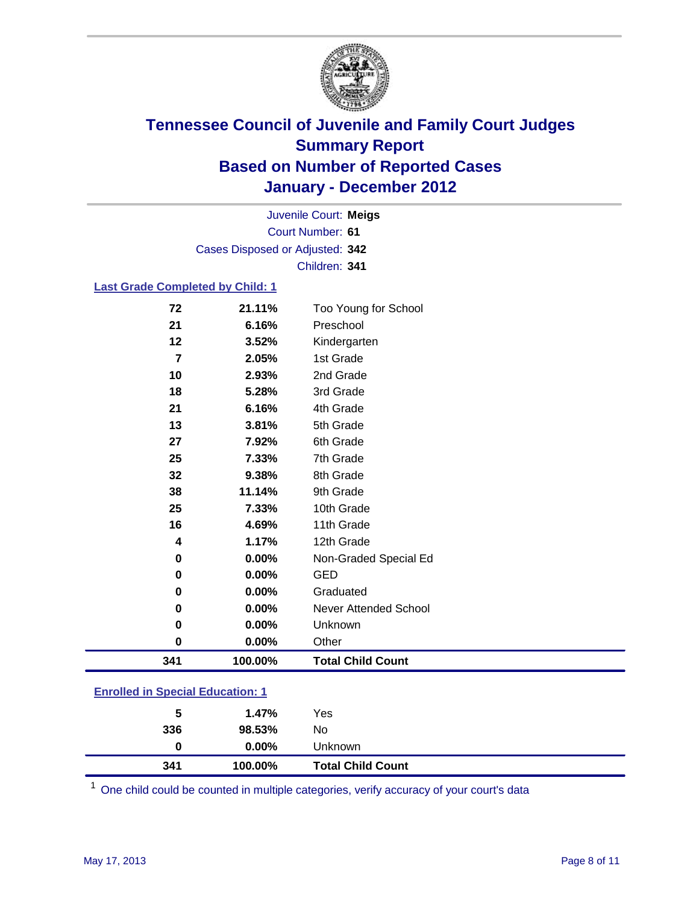

Court Number: **61** Juvenile Court: **Meigs** Cases Disposed or Adjusted: **342** Children: **341**

### **Last Grade Completed by Child: 1**

| 341      | 100.00%  | <b>Total Child Count</b> |  |
|----------|----------|--------------------------|--|
| 0        | 0.00%    | Other                    |  |
| $\bf{0}$ | 0.00%    | Unknown                  |  |
| 0        | 0.00%    | Never Attended School    |  |
| 0        | $0.00\%$ | Graduated                |  |
| 0        | 0.00%    | <b>GED</b>               |  |
| 0        | 0.00%    | Non-Graded Special Ed    |  |
| 4        | 1.17%    | 12th Grade               |  |
| 16       | 4.69%    | 11th Grade               |  |
| 25       | 7.33%    | 10th Grade               |  |
| 38       | 11.14%   | 9th Grade                |  |
| 32       | 9.38%    | 8th Grade                |  |
| 25       | 7.33%    | 7th Grade                |  |
| 27       | 7.92%    | 6th Grade                |  |
| 13       | 3.81%    | 5th Grade                |  |
| 21       | 6.16%    | 4th Grade                |  |
| 18       | 5.28%    | 3rd Grade                |  |
| 10       | 2.93%    | 2nd Grade                |  |
| 7        | 2.05%    | 1st Grade                |  |
| 12       | 3.52%    | Kindergarten             |  |
| 21       | 6.16%    | Preschool                |  |
| 72       | 21.11%   | Too Young for School     |  |

### **Enrolled in Special Education: 1**

| 341 | 100.00%  | <b>Total Child Count</b> |  |
|-----|----------|--------------------------|--|
| 0   | $0.00\%$ | Unknown                  |  |
| 336 | 98.53%   | No                       |  |
| 5   | 1.47%    | Yes                      |  |
|     |          |                          |  |

One child could be counted in multiple categories, verify accuracy of your court's data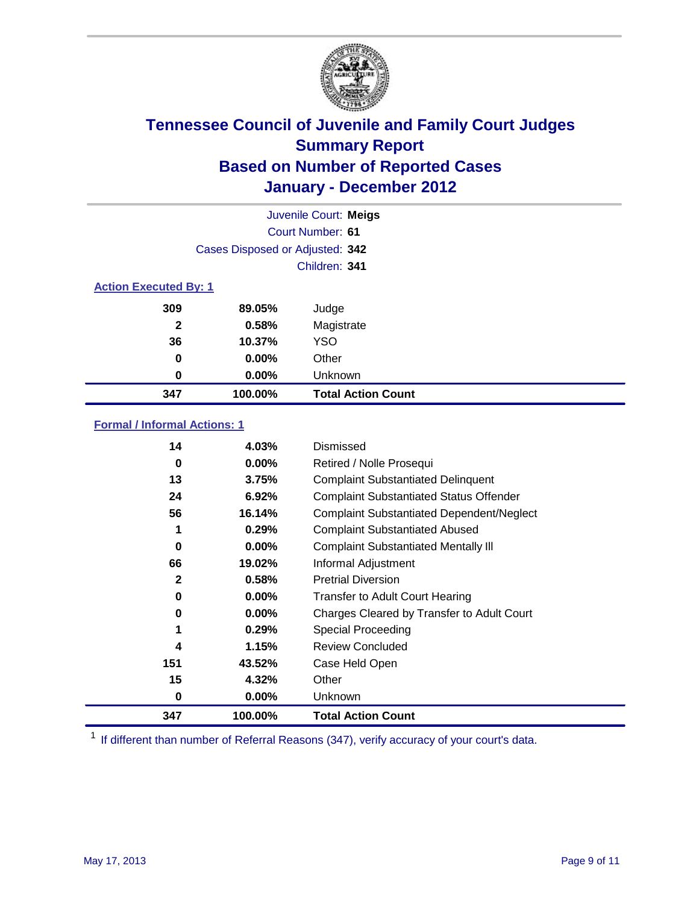

|                              | Juvenile Court: Meigs           |                           |  |  |
|------------------------------|---------------------------------|---------------------------|--|--|
|                              | Court Number: 61                |                           |  |  |
|                              | Cases Disposed or Adjusted: 342 |                           |  |  |
|                              |                                 | Children: 341             |  |  |
| <b>Action Executed By: 1</b> |                                 |                           |  |  |
| 309                          | 89.05%                          | Judge                     |  |  |
| $\mathbf{2}$                 | 0.58%                           | Magistrate                |  |  |
| 36                           | 10.37%                          | <b>YSO</b>                |  |  |
| 0                            | 0.00%                           | Other                     |  |  |
| 0                            | 0.00%                           | Unknown                   |  |  |
| 347                          | 100.00%                         | <b>Total Action Count</b> |  |  |

### **Formal / Informal Actions: 1**

| 14           | 4.03%    | Dismissed                                        |
|--------------|----------|--------------------------------------------------|
| 0            | $0.00\%$ | Retired / Nolle Prosequi                         |
| 13           | 3.75%    | <b>Complaint Substantiated Delinquent</b>        |
| 24           | 6.92%    | <b>Complaint Substantiated Status Offender</b>   |
| 56           | 16.14%   | <b>Complaint Substantiated Dependent/Neglect</b> |
| 1            | 0.29%    | <b>Complaint Substantiated Abused</b>            |
| 0            | $0.00\%$ | <b>Complaint Substantiated Mentally III</b>      |
| 66           | 19.02%   | Informal Adjustment                              |
| $\mathbf{2}$ | 0.58%    | <b>Pretrial Diversion</b>                        |
| 0            | $0.00\%$ | <b>Transfer to Adult Court Hearing</b>           |
| 0            | $0.00\%$ | Charges Cleared by Transfer to Adult Court       |
| 1            | 0.29%    | Special Proceeding                               |
| 4            | 1.15%    | <b>Review Concluded</b>                          |
| 151          | 43.52%   | Case Held Open                                   |
| 15           | 4.32%    | Other                                            |
| 0            | $0.00\%$ | <b>Unknown</b>                                   |
| 347          | 100.00%  | <b>Total Action Count</b>                        |

<sup>1</sup> If different than number of Referral Reasons (347), verify accuracy of your court's data.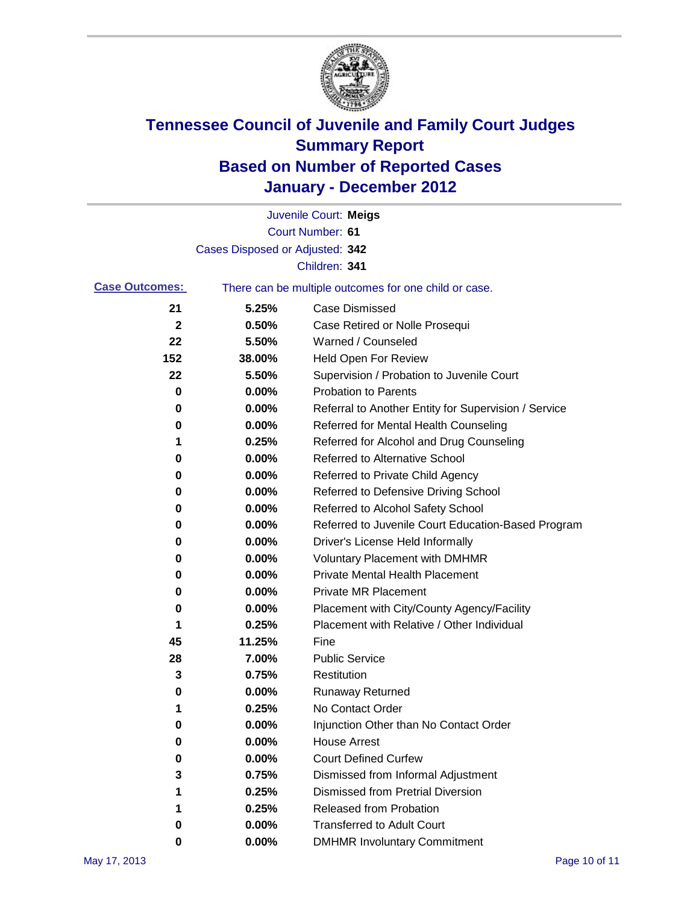

|                       |                                 | Juvenile Court: Meigs                                 |
|-----------------------|---------------------------------|-------------------------------------------------------|
|                       |                                 | Court Number: 61                                      |
|                       | Cases Disposed or Adjusted: 342 |                                                       |
|                       |                                 | Children: 341                                         |
| <b>Case Outcomes:</b> |                                 | There can be multiple outcomes for one child or case. |
| 21                    | 5.25%                           | <b>Case Dismissed</b>                                 |
| 2                     | 0.50%                           | Case Retired or Nolle Prosequi                        |
| 22                    | 5.50%                           | Warned / Counseled                                    |
| 152                   | 38.00%                          | Held Open For Review                                  |
| 22                    | 5.50%                           | Supervision / Probation to Juvenile Court             |
| 0                     | 0.00%                           | <b>Probation to Parents</b>                           |
| 0                     | 0.00%                           | Referral to Another Entity for Supervision / Service  |
| 0                     | 0.00%                           | Referred for Mental Health Counseling                 |
| 1                     | 0.25%                           | Referred for Alcohol and Drug Counseling              |
| 0                     | 0.00%                           | <b>Referred to Alternative School</b>                 |
| 0                     | 0.00%                           | Referred to Private Child Agency                      |
| 0                     | 0.00%                           | Referred to Defensive Driving School                  |
| 0                     | 0.00%                           | Referred to Alcohol Safety School                     |
| 0                     | 0.00%                           | Referred to Juvenile Court Education-Based Program    |
| 0                     | 0.00%                           | Driver's License Held Informally                      |
| 0                     | 0.00%                           | <b>Voluntary Placement with DMHMR</b>                 |
| 0                     | 0.00%                           | <b>Private Mental Health Placement</b>                |
| 0                     | 0.00%                           | <b>Private MR Placement</b>                           |
| 0                     | 0.00%                           | Placement with City/County Agency/Facility            |
| 1                     | 0.25%                           | Placement with Relative / Other Individual            |
| 45                    | 11.25%                          | Fine                                                  |
| 28                    | 7.00%                           | <b>Public Service</b>                                 |
| 3                     | 0.75%                           | Restitution                                           |
| 0                     | 0.00%                           | Runaway Returned                                      |
| 1                     | 0.25%                           | No Contact Order                                      |
| 0                     | $0.00\%$                        | Injunction Other than No Contact Order                |
| 0                     | 0.00%                           | <b>House Arrest</b>                                   |
| 0                     | 0.00%                           | <b>Court Defined Curfew</b>                           |
| 3                     | 0.75%                           | Dismissed from Informal Adjustment                    |
| 1                     | 0.25%                           | <b>Dismissed from Pretrial Diversion</b>              |
| 1                     | 0.25%                           | <b>Released from Probation</b>                        |
| 0                     | 0.00%                           | <b>Transferred to Adult Court</b>                     |
| 0                     | $0.00\%$                        | <b>DMHMR Involuntary Commitment</b>                   |